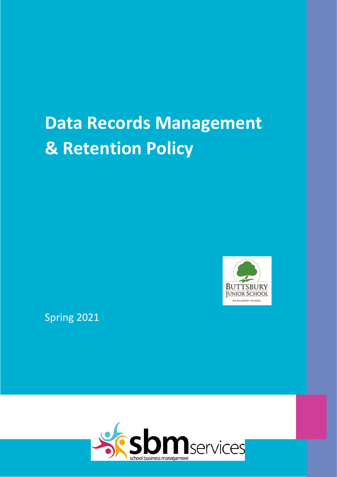# **Data Records Management & Retention Policy**



Spring 2021

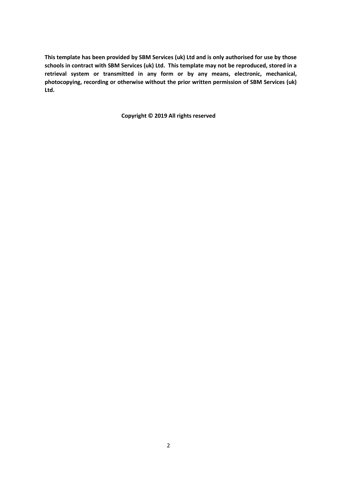**This template has been provided by SBM Services (uk) Ltd and is only authorised for use by those schools in contract with SBM Services (uk) Ltd. This template may not be reproduced, stored in a retrieval system or transmitted in any form or by any means, electronic, mechanical, photocopying, recording or otherwise without the prior written permission of SBM Services (uk) Ltd.**

**Copyright © 2019 All rights reserved**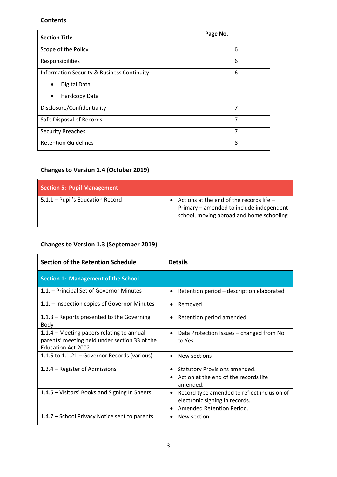#### **Contents**

| <b>Section Title</b>                                  | Page No.       |
|-------------------------------------------------------|----------------|
| Scope of the Policy                                   | 6              |
| Responsibilities                                      | 6              |
| <b>Information Security &amp; Business Continuity</b> | 6              |
| Digital Data<br>$\bullet$                             |                |
| Hardcopy Data<br>$\bullet$                            |                |
| Disclosure/Confidentiality                            | 7              |
| Safe Disposal of Records                              | 7              |
| <b>Security Breaches</b>                              | $\overline{7}$ |
| <b>Retention Guidelines</b>                           | 8              |

# **Changes to Version 1.4 (October 2019)**

| <b>Section 5: Pupil Management</b> |                                                                                                                                  |  |  |  |  |
|------------------------------------|----------------------------------------------------------------------------------------------------------------------------------|--|--|--|--|
| 5.1.1 - Pupil's Education Record   | Actions at the end of the records life -<br>Primary - amended to include independent<br>school, moving abroad and home schooling |  |  |  |  |

# **Changes to Version 1.3 (September 2019)**

| <b>Section of the Retention Schedule</b>                                                                                | <b>Details</b>                                                                                                          |
|-------------------------------------------------------------------------------------------------------------------------|-------------------------------------------------------------------------------------------------------------------------|
| <b>Section 1: Management of the School</b>                                                                              |                                                                                                                         |
| 1.1. – Principal Set of Governor Minutes                                                                                | Retention period - description elaborated<br>٠                                                                          |
| 1.1. – Inspection copies of Governor Minutes                                                                            | Removed<br>$\bullet$                                                                                                    |
| 1.1.3 – Reports presented to the Governing<br>Body                                                                      | Retention period amended<br>$\bullet$                                                                                   |
| 1.1.4 – Meeting papers relating to annual<br>parents' meeting held under section 33 of the<br><b>Education Act 2002</b> | Data Protection Issues - changed from No<br>$\bullet$<br>to Yes                                                         |
| 1.1.5 to 1.1.21 – Governor Records (various)                                                                            | New sections<br>$\bullet$                                                                                               |
| 1.3.4 - Register of Admissions                                                                                          | Statutory Provisions amended.<br>$\bullet$<br>Action at the end of the records life<br>amended.                         |
| 1.4.5 – Visitors' Books and Signing In Sheets                                                                           | Record type amended to reflect inclusion of<br>$\bullet$<br>electronic signing in records.<br>Amended Retention Period. |
| 1.4.7 - School Privacy Notice sent to parents                                                                           | New section                                                                                                             |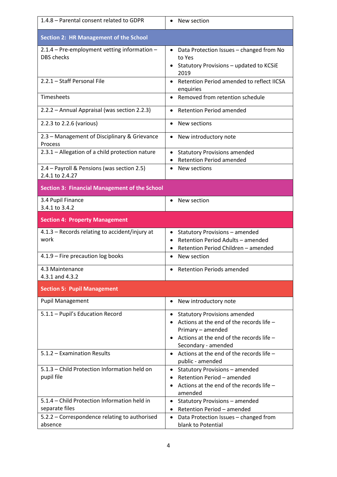| 1.4.8 - Parental consent related to GDPR                          | • New section                                                                                                                                                                        |
|-------------------------------------------------------------------|--------------------------------------------------------------------------------------------------------------------------------------------------------------------------------------|
| <b>Section 2: HR Management of the School</b>                     |                                                                                                                                                                                      |
| 2.1.4 - Pre-employment vetting information -<br><b>DBS</b> checks | Data Protection Issues - changed from No<br>$\bullet$<br>to Yes<br>Statutory Provisions - updated to KCSiE<br>2019                                                                   |
| 2.2.1 - Staff Personal File                                       | Retention Period amended to reflect IICSA<br>$\bullet$<br>enquiries                                                                                                                  |
| Timesheets                                                        | Removed from retention schedule<br>٠                                                                                                                                                 |
| 2.2.2 - Annual Appraisal (was section 2.2.3)                      | <b>Retention Period amended</b><br>$\bullet$                                                                                                                                         |
| 2.2.3 to 2.2.6 (various)                                          | New sections<br>$\bullet$                                                                                                                                                            |
| 2.3 - Management of Disciplinary & Grievance<br>Process           | New introductory note<br>$\bullet$                                                                                                                                                   |
| 2.3.1 - Allegation of a child protection nature                   | <b>Statutory Provisions amended</b><br>$\bullet$<br><b>Retention Period amended</b>                                                                                                  |
| 2.4 - Payroll & Pensions (was section 2.5)<br>2.4.1 to 2.4.27     | New sections<br>$\bullet$                                                                                                                                                            |
| <b>Section 3: Financial Management of the School</b>              |                                                                                                                                                                                      |
| 3.4 Pupil Finance<br>3.4.1 to 3.4.2                               | New section<br>$\bullet$                                                                                                                                                             |
| <b>Section 4: Property Management</b>                             |                                                                                                                                                                                      |
| 4.1.3 - Records relating to accident/injury at<br>work            | Statutory Provisions - amended<br>$\bullet$<br>Retention Period Adults - amended<br>$\bullet$<br>Retention Period Children - amended<br>٠                                            |
| 4.1.9 - Fire precaution log books                                 | New section<br>$\bullet$                                                                                                                                                             |
| 4.3 Maintenance<br>4.3.1 and 4.3.2                                | <b>Retention Periods amended</b>                                                                                                                                                     |
| <b>Section 5: Pupil Management</b>                                |                                                                                                                                                                                      |
| <b>Pupil Management</b>                                           | New introductory note                                                                                                                                                                |
| 5.1.1 - Pupil's Education Record                                  | <b>Statutory Provisions amended</b><br>$\bullet$<br>Actions at the end of the records life -<br>Primary - amended<br>Actions at the end of the records life -<br>Secondary - amended |
| 5.1.2 - Examination Results                                       | • Actions at the end of the records life $-$<br>public - amended                                                                                                                     |
| 5.1.3 - Child Protection Information held on<br>pupil file        | Statutory Provisions - amended<br>٠<br>Retention Period - amended<br>$\bullet$<br>Actions at the end of the records life -<br>amended                                                |
| 5.1.4 - Child Protection Information held in<br>separate files    | Statutory Provisions - amended<br>$\bullet$<br>Retention Period - amended                                                                                                            |
| 5.2.2 - Correspondence relating to authorised<br>absence          | Data Protection Issues - changed from<br>$\bullet$<br>blank to Potential                                                                                                             |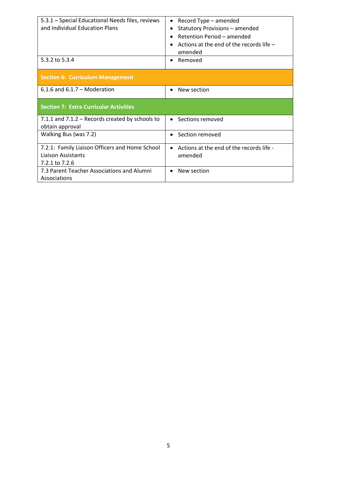| 5.3.1 - Special Educational Needs files, reviews<br>and Individual Education Plans<br>5.3.2 to 5.3.4 | Record Type – amended<br><b>Statutory Provisions - amended</b><br>Retention Period - amended<br>Actions at the end of the records life -<br>amended<br>Removed<br>$\bullet$ |
|------------------------------------------------------------------------------------------------------|-----------------------------------------------------------------------------------------------------------------------------------------------------------------------------|
|                                                                                                      |                                                                                                                                                                             |
| <b>Section 6: Curriculum Management</b>                                                              |                                                                                                                                                                             |
| $6.1.6$ and $6.1.7$ – Moderation                                                                     | New section<br>$\bullet$                                                                                                                                                    |
| <b>Section 7: Extra Curricular Activities</b>                                                        |                                                                                                                                                                             |
| 7.1.1 and 7.1.2 - Records created by schools to<br>obtain approval                                   | Sections removed<br>$\bullet$                                                                                                                                               |
| Walking Bus (was 7.2)                                                                                | Section removed<br>$\bullet$                                                                                                                                                |
| 7.2.1: Family Liaison Officers and Home School<br>Liaison Assistants<br>7.2.1 to 7.2.6               | Actions at the end of the records life -<br>$\bullet$<br>amended                                                                                                            |
| 7.3 Parent Teacher Associations and Alumni<br>Associations                                           | New section<br>$\bullet$                                                                                                                                                    |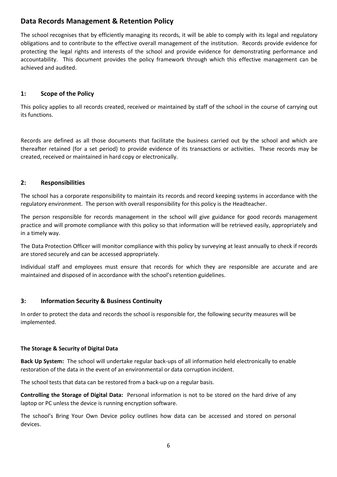# **Data Records Management & Retention Policy**

The school recognises that by efficiently managing its records, it will be able to comply with its legal and regulatory obligations and to contribute to the effective overall management of the institution. Records provide evidence for protecting the legal rights and interests of the school and provide evidence for demonstrating performance and accountability. This document provides the policy framework through which this effective management can be achieved and audited.

#### **1: Scope of the Policy**

This policy applies to all records created, received or maintained by staff of the school in the course of carrying out its functions.

Records are defined as all those documents that facilitate the business carried out by the school and which are thereafter retained (for a set period) to provide evidence of its transactions or activities. These records may be created, received or maintained in hard copy or electronically.

#### **2: Responsibilities**

The school has a corporate responsibility to maintain its records and record keeping systems in accordance with the regulatory environment. The person with overall responsibility for this policy is the Headteacher.

The person responsible for records management in the school will give guidance for good records management practice and will promote compliance with this policy so that information will be retrieved easily, appropriately and in a timely way.

The Data Protection Officer will monitor compliance with this policy by surveying at least annually to check if records are stored securely and can be accessed appropriately.

Individual staff and employees must ensure that records for which they are responsible are accurate and are maintained and disposed of in accordance with the school's retention guidelines.

#### **3: Information Security & Business Continuity**

In order to protect the data and records the school is responsible for, the following security measures will be implemented.

#### **The Storage & Security of Digital Data**

**Back Up System:** The school will undertake regular back-ups of all information held electronically to enable restoration of the data in the event of an environmental or data corruption incident.

The school tests that data can be restored from a back-up on a regular basis.

**Controlling the Storage of Digital Data:** Personal information is not to be stored on the hard drive of any laptop or PC unless the device is running encryption software.

The school's Bring Your Own Device policy outlines how data can be accessed and stored on personal devices.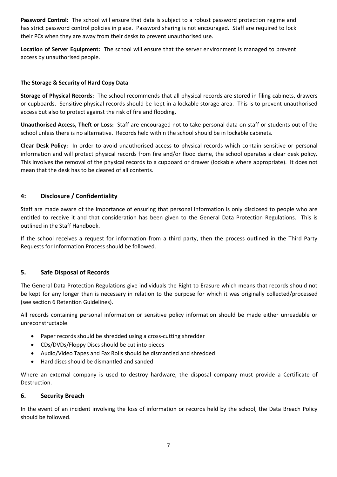**Password Control:** The school will ensure that data is subject to a robust password protection regime and has strict password control policies in place. Password sharing is not encouraged. Staff are required to lock their PCs when they are away from their desks to prevent unauthorised use.

**Location of Server Equipment:** The school will ensure that the server environment is managed to prevent access by unauthorised people.

#### **The Storage & Security of Hard Copy Data**

**Storage of Physical Records:** The school recommends that all physical records are stored in filing cabinets, drawers or cupboards. Sensitive physical records should be kept in a lockable storage area. This is to prevent unauthorised access but also to protect against the risk of fire and flooding.

**Unauthorised Access, Theft or Loss:** Staff are encouraged not to take personal data on staff or students out of the school unless there is no alternative. Records held within the school should be in lockable cabinets.

**Clear Desk Policy:** In order to avoid unauthorised access to physical records which contain sensitive or personal information and will protect physical records from fire and/or flood dame, the school operates a clear desk policy. This involves the removal of the physical records to a cupboard or drawer (lockable where appropriate). It does not mean that the desk has to be cleared of all contents.

#### **4: Disclosure / Confidentiality**

Staff are made aware of the importance of ensuring that personal information is only disclosed to people who are entitled to receive it and that consideration has been given to the General Data Protection Regulations. This is outlined in the Staff Handbook.

If the school receives a request for information from a third party, then the process outlined in the Third Party Requests for Information Process should be followed.

#### **5. Safe Disposal of Records**

The General Data Protection Regulations give individuals the Right to Erasure which means that records should not be kept for any longer than is necessary in relation to the purpose for which it was originally collected/processed (see section 6 Retention Guidelines).

All records containing personal information or sensitive policy information should be made either unreadable or unreconstructable.

- Paper records should be shredded using a cross-cutting shredder
- CDs/DVDs/Floppy Discs should be cut into pieces
- Audio/Video Tapes and Fax Rolls should be dismantled and shredded
- Hard discs should be dismantled and sanded

Where an external company is used to destroy hardware, the disposal company must provide a Certificate of Destruction.

#### **6. Security Breach**

In the event of an incident involving the loss of information or records held by the school, the Data Breach Policy should be followed.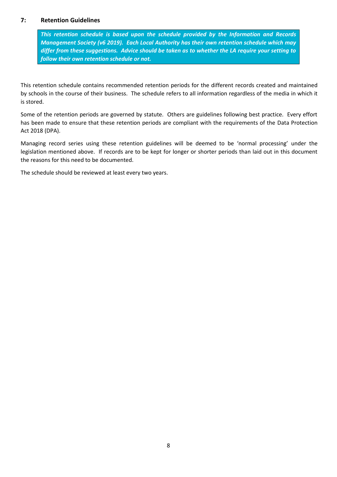#### **7: Retention Guidelines**

*This retention schedule is based upon the schedule provided by the Information and Records Management Society (v6 2019). Each Local Authority has their own retention schedule which may differ from these suggestions. Advice should be taken as to whether the LA require your setting to follow their own retention schedule or not.*

This retention schedule contains recommended retention periods for the different records created and maintained by schools in the course of their business. The schedule refers to all information regardless of the media in which it is stored.

Some of the retention periods are governed by statute. Others are guidelines following best practice. Every effort has been made to ensure that these retention periods are compliant with the requirements of the Data Protection Act 2018 (DPA).

Managing record series using these retention guidelines will be deemed to be 'normal processing' under the legislation mentioned above. If records are to be kept for longer or shorter periods than laid out in this document the reasons for this need to be documented.

The schedule should be reviewed at least every two years.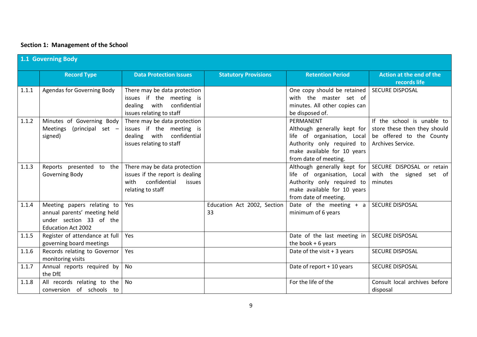# **Section 1: Management of the School**

|       | 1.1 Governing Body                                                                                                 |                                                                                                                        |                                   |                                                                                                                                                                 |                                                                                                             |  |
|-------|--------------------------------------------------------------------------------------------------------------------|------------------------------------------------------------------------------------------------------------------------|-----------------------------------|-----------------------------------------------------------------------------------------------------------------------------------------------------------------|-------------------------------------------------------------------------------------------------------------|--|
|       | <b>Record Type</b>                                                                                                 | <b>Data Protection Issues</b>                                                                                          | <b>Statutory Provisions</b>       | <b>Retention Period</b>                                                                                                                                         | Action at the end of the<br>records life                                                                    |  |
| 1.1.1 | Agendas for Governing Body                                                                                         | There may be data protection<br>issues if the meeting is<br>dealing with<br>confidential<br>issues relating to staff   |                                   | One copy should be retained<br>with the master set of<br>minutes. All other copies can<br>be disposed of.                                                       | <b>SECURE DISPOSAL</b>                                                                                      |  |
| 1.1.2 | Minutes of Governing Body<br>Meetings (principal set -<br>signed)                                                  | There may be data protection<br>issues if the meeting is<br>confidential<br>dealing with<br>issues relating to staff   |                                   | PERMANENT<br>Although generally kept for<br>life of organisation, Local  <br>Authority only required to<br>make available for 10 years<br>from date of meeting. | If the school is unable to<br>store these then they should<br>be offered to the County<br>Archives Service. |  |
| 1.1.3 | Reports presented to the<br>Governing Body                                                                         | There may be data protection<br>issues if the report is dealing<br>confidential<br>with<br>issues<br>relating to staff |                                   | Although generally kept for  <br>life of organisation, Local<br>Authority only required to<br>make available for 10 years<br>from date of meeting.              | SECURE DISPOSAL or retain<br>with the signed set of<br>minutes                                              |  |
| 1.1.4 | Meeting papers relating to<br>annual parents' meeting held<br>under section 33 of the<br><b>Education Act 2002</b> | Yes                                                                                                                    | Education Act 2002, Section<br>33 | Date of the meeting $+$ a<br>minimum of 6 years                                                                                                                 | SECURE DISPOSAL                                                                                             |  |
| 1.1.5 | Register of attendance at full<br>governing board meetings                                                         | Yes                                                                                                                    |                                   | Date of the last meeting in<br>the book $+6$ years                                                                                                              | <b>SECURE DISPOSAL</b>                                                                                      |  |
| 1.1.6 | Records relating to Governor<br>monitoring visits                                                                  | Yes                                                                                                                    |                                   | Date of the visit $+3$ years                                                                                                                                    | <b>SECURE DISPOSAL</b>                                                                                      |  |
| 1.1.7 | Annual reports required by<br>the DfE                                                                              | No                                                                                                                     |                                   | Date of report + 10 years                                                                                                                                       | <b>SECURE DISPOSAL</b>                                                                                      |  |
| 1.1.8 | All records relating to the<br>conversion of schools to                                                            | No                                                                                                                     |                                   | For the life of the                                                                                                                                             | Consult local archives before<br>disposal                                                                   |  |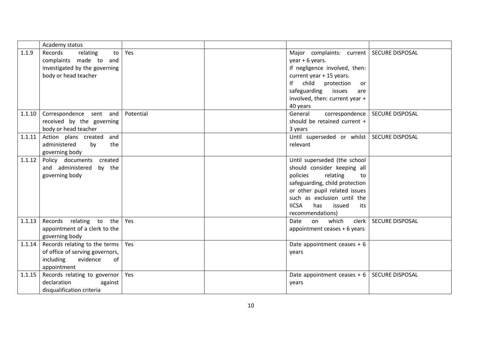|        | Academy status                                                                                                 |           |                                                                                                                                                                                                                                                         |                        |
|--------|----------------------------------------------------------------------------------------------------------------|-----------|---------------------------------------------------------------------------------------------------------------------------------------------------------------------------------------------------------------------------------------------------------|------------------------|
| 1.1.9  | Records<br>relating<br>to<br>complaints made to and<br>investigated by the governing<br>body or head teacher   | Yes       | Major complaints: current   SECURE DISPOSAL<br>year + 6 years.<br>If negligence involved, then:<br>current year + 15 years.<br>child<br> f <br>protection<br>or<br>safeguarding<br>issues<br>are<br>involved, then: current year +<br>40 years          |                        |
| 1.1.10 | Correspondence sent and<br>received by the governing<br>body or head teacher                                   | Potential | General<br>correspondence<br>should be retained current +<br>3 years                                                                                                                                                                                    | <b>SECURE DISPOSAL</b> |
| 1.1.11 | Action plans created<br>and<br>administered<br>by<br>the<br>governing body                                     |           | Until superseded or whilst<br>relevant                                                                                                                                                                                                                  | <b>SECURE DISPOSAL</b> |
| 1.1.12 | Policy documents created<br>and administered<br>by the<br>governing body                                       |           | Until superseded (the school<br>should consider keeping all<br>policies<br>relating<br>to<br>safeguarding, child protection<br>or other pupil related issues<br>such as exclusion until the<br><b>IICSA</b><br>has<br>issued<br>its<br>recommendations) |                        |
| 1.1.13 | Records relating to the<br>appointment of a clerk to the<br>governing body                                     | Yes       | which<br>clerk<br>Date<br>on<br>appointment ceases + 6 years                                                                                                                                                                                            | <b>SECURE DISPOSAL</b> |
| 1.1.14 | Records relating to the terms<br>of office of serving governors,<br>including<br>evidence<br>of<br>appointment | Yes       | Date appointment ceases $+6$<br>years                                                                                                                                                                                                                   |                        |
| 1.1.15 | Records relating to governor<br>declaration<br>against<br>disqualification criteria                            | Yes       | Date appointment ceases $+6$<br>years                                                                                                                                                                                                                   | <b>SECURE DISPOSAL</b> |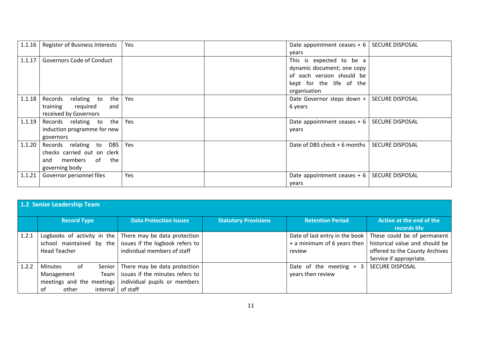| 1.1.16 | <b>Register of Business Interests</b>                                                                          | Yes | Date appointment ceases $+ 6$<br>years                                                                                          | <b>SECURE DISPOSAL</b> |
|--------|----------------------------------------------------------------------------------------------------------------|-----|---------------------------------------------------------------------------------------------------------------------------------|------------------------|
| 1.1.17 | Governors Code of Conduct                                                                                      |     | This is expected to be a<br>dynamic document; one copy<br>of each version should be<br>kept for the life of the<br>organisation |                        |
| 1.1.18 | the<br>Records<br>relating to<br>training<br>required<br>and<br>received by Governors                          | Yes | Date Governor steps down +<br>6 years                                                                                           | <b>SECURE DISPOSAL</b> |
| 1.1.19 | the<br>Records relating to<br>induction programme for new<br>governors                                         | Yes | Date appointment ceases $+ 6$<br>years                                                                                          | <b>SECURE DISPOSAL</b> |
| 1.1.20 | Records relating to<br><b>DBS</b><br>checks carried out on clerk<br>members<br>of the<br>and<br>governing body | Yes | Date of DBS check + 6 months                                                                                                    | <b>SECURE DISPOSAL</b> |
| 1.1.21 | Governor personnel files                                                                                       | Yes | Date appointment ceases $+6$<br>years                                                                                           | <b>SECURE DISPOSAL</b> |

|       | 1.2 Senior Leadership Team                                                                              |                                                                                                             |                             |                                                                         |                                                                                                                            |  |
|-------|---------------------------------------------------------------------------------------------------------|-------------------------------------------------------------------------------------------------------------|-----------------------------|-------------------------------------------------------------------------|----------------------------------------------------------------------------------------------------------------------------|--|
|       | <b>Record Type</b>                                                                                      | <b>Data Protection Issues</b>                                                                               | <b>Statutory Provisions</b> | <b>Retention Period</b>                                                 | Action at the end of the<br>records life                                                                                   |  |
| 1.2.1 | Logbooks of activity in the<br>school maintained by the<br><b>Head Teacher</b>                          | There may be data protection<br>issues if the logbook refers to<br>individual members of staff              |                             | Date of last entry in the book<br>+ a minimum of 6 years then<br>review | These could be of permanent<br>historical value and should be<br>offered to the County Archives<br>Service if appropriate. |  |
| 1.2.2 | 0f<br>Minutes<br>Senior I<br>Team<br>Management<br>meetings and the meetings<br>other<br>0f<br>internal | There may be data protection<br>issues if the minutes refers to<br>individual pupils or members<br>of staff |                             | Date of the meeting $+3$<br>years then review                           | <b>SECURE DISPOSAL</b>                                                                                                     |  |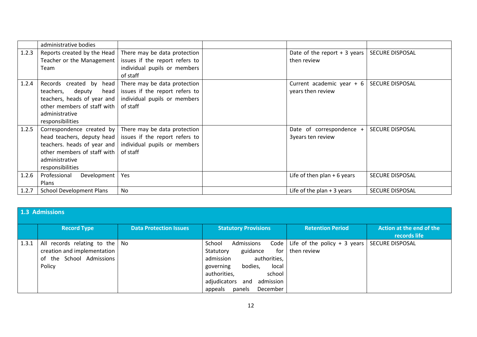|       | administrative bodies           |                                                                  |                               |                        |
|-------|---------------------------------|------------------------------------------------------------------|-------------------------------|------------------------|
| 1.2.3 | Reports created by the Head     | There may be data protection                                     | Date of the report $+3$ years | <b>SECURE DISPOSAL</b> |
|       | Teacher or the Management       | issues if the report refers to                                   | then review                   |                        |
|       | Team                            | individual pupils or members                                     |                               |                        |
|       |                                 | of staff                                                         |                               |                        |
| 1.2.4 | Records created by head         | There may be data protection                                     | Current academic year $+ 6$   | <b>SECURE DISPOSAL</b> |
|       | teachers, deputy                | head issues if the report refers to                              | years then review             |                        |
|       |                                 | teachers, heads of year and   individual pupils or members       |                               |                        |
|       | other members of staff with     | of staff                                                         |                               |                        |
|       | administrative                  |                                                                  |                               |                        |
|       | responsibilities                |                                                                  |                               |                        |
| 1.2.5 |                                 | Correspondence created by $\vert$ There may be data protection   | Date of correspondence +      | <b>SECURE DISPOSAL</b> |
|       |                                 | head teachers, deputy head issues if the report refers to        | 3years ten review             |                        |
|       |                                 | teachers. heads of year and $\vert$ individual pupils or members |                               |                        |
|       | other members of staff with     | of staff                                                         |                               |                        |
|       | administrative                  |                                                                  |                               |                        |
|       | responsibilities                |                                                                  |                               |                        |
| 1.2.6 | Professional<br>Development     | Yes                                                              | Life of then plan $+6$ years  | <b>SECURE DISPOSAL</b> |
|       | <b>Plans</b>                    |                                                                  |                               |                        |
| 1.2.7 | <b>School Development Plans</b> | <b>No</b>                                                        | Life of the plan $+3$ years   | <b>SECURE DISPOSAL</b> |

|       | 1.3 Admissions                                                                                              |                               |                                                                                                                                                                                                                   |                                                    |                                          |  |  |
|-------|-------------------------------------------------------------------------------------------------------------|-------------------------------|-------------------------------------------------------------------------------------------------------------------------------------------------------------------------------------------------------------------|----------------------------------------------------|------------------------------------------|--|--|
|       | <b>Record Type</b>                                                                                          | <b>Data Protection Issues</b> | <b>Statutory Provisions</b>                                                                                                                                                                                       | <b>Retention Period</b>                            | Action at the end of the<br>records life |  |  |
| 1.3.1 | All records relating to the $\vert$ No<br>creation and implementation<br>of the School Admissions<br>Policy |                               | School<br>Admissions<br>guidance<br>for<br>Statutory<br>admission<br>authorities,<br>local<br>bodies,<br>governing<br>authorities,<br>school<br>adjudicators<br>admission<br>and<br>December<br>appeals<br>panels | Code   Life of the policy + 3 years<br>then review | <b>SECURE DISPOSAL</b>                   |  |  |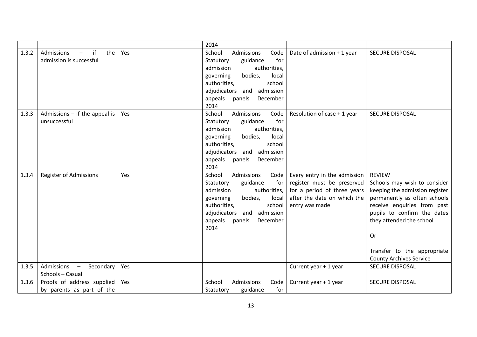|       |                                                                                |     | 2014                                                                                                                                                                                                                        |                                                                                                                                            |                                                                                                                                                                                                                                                                                         |
|-------|--------------------------------------------------------------------------------|-----|-----------------------------------------------------------------------------------------------------------------------------------------------------------------------------------------------------------------------------|--------------------------------------------------------------------------------------------------------------------------------------------|-----------------------------------------------------------------------------------------------------------------------------------------------------------------------------------------------------------------------------------------------------------------------------------------|
| 1.3.2 | Admissions<br>if<br>the<br>$\overline{\phantom{0}}$<br>admission is successful | Yes | School<br>Admissions<br>Code<br>for<br>Statutory<br>guidance<br>admission<br>authorities,<br>governing<br>bodies,<br>local<br>authorities,<br>school<br>adjudicators and admission<br>appeals panels<br>December<br>2014    | Date of admission + 1 year                                                                                                                 | <b>SECURE DISPOSAL</b>                                                                                                                                                                                                                                                                  |
| 1.3.3 | Admissions $-$ if the appeal is<br>unsuccessful                                | Yes | School<br>Admissions<br>Code<br>for<br>Statutory<br>guidance<br>admission<br>authorities,<br>governing<br>bodies,<br>local<br>authorities,<br>school<br>adjudicators and admission<br>appeals<br>panels<br>December<br>2014 | Resolution of case + 1 year                                                                                                                | <b>SECURE DISPOSAL</b>                                                                                                                                                                                                                                                                  |
| 1.3.4 | <b>Register of Admissions</b>                                                  | Yes | School<br>Admissions<br>Code<br>for<br>Statutory<br>guidance<br>admission<br>authorities,<br>bodies,<br>local<br>governing<br>authorities,<br>school<br>adjudicators and admission<br>appeals<br>panels<br>December<br>2014 | Every entry in the admission<br>register must be preserved<br>for a period of three years<br>after the date on which the<br>entry was made | <b>REVIEW</b><br>Schools may wish to consider<br>keeping the admission register<br>permanently as often schools<br>receive enquiries from past<br>pupils to confirm the dates<br>they attended the school<br><b>Or</b><br>Transfer to the appropriate<br><b>County Archives Service</b> |
| 1.3.5 | Admissions -<br>Secondary<br>Schools - Casual                                  | Yes |                                                                                                                                                                                                                             | Current year + 1 year                                                                                                                      | <b>SECURE DISPOSAL</b>                                                                                                                                                                                                                                                                  |
| 1.3.6 | Proofs of address supplied<br>by parents as part of the                        | Yes | School<br>Admissions<br>Code<br>for<br>Statutory<br>guidance                                                                                                                                                                | Current year + 1 year                                                                                                                      | <b>SECURE DISPOSAL</b>                                                                                                                                                                                                                                                                  |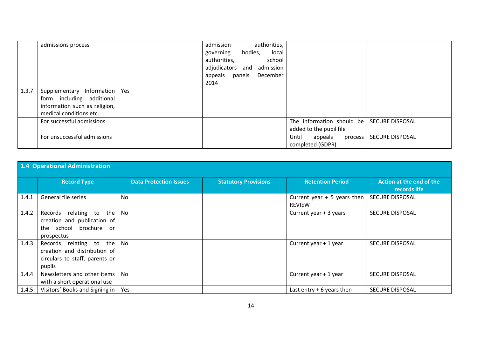|       | admissions process              | admission<br>authorities,        |                             |                        |
|-------|---------------------------------|----------------------------------|-----------------------------|------------------------|
|       |                                 | local<br>bodies,<br>governing    |                             |                        |
|       |                                 | authorities,<br>school           |                             |                        |
|       |                                 | adjudicators<br>admission<br>and |                             |                        |
|       |                                 | appeals<br>December<br>panels    |                             |                        |
|       |                                 | 2014                             |                             |                        |
| 1.3.7 | Supplementary Information   Yes |                                  |                             |                        |
|       | form including additional       |                                  |                             |                        |
|       | information such as religion,   |                                  |                             |                        |
|       | medical conditions etc.         |                                  |                             |                        |
|       | For successful admissions       |                                  | The information should be   | <b>SECURE DISPOSAL</b> |
|       |                                 |                                  | added to the pupil file     |                        |
|       | For unsuccessful admissions     |                                  | Until<br>appeals<br>process | <b>SECURE DISPOSAL</b> |
|       |                                 |                                  | completed (GDPR)            |                        |

|       | 1.4 Operational Administration                                                                             |                               |                             |                                               |                                          |  |  |
|-------|------------------------------------------------------------------------------------------------------------|-------------------------------|-----------------------------|-----------------------------------------------|------------------------------------------|--|--|
|       | <b>Record Type</b>                                                                                         | <b>Data Protection Issues</b> | <b>Statutory Provisions</b> | <b>Retention Period</b>                       | Action at the end of the<br>records life |  |  |
| 1.4.1 | General file series                                                                                        | No                            |                             | Current year $+5$ years then<br><b>REVIEW</b> | <b>SECURE DISPOSAL</b>                   |  |  |
| 1.4.2 | the<br>relating to<br>Records<br>creation and publication of<br>school brochure<br>the<br>or<br>prospectus | No                            |                             | Current year + 3 years                        | <b>SECURE DISPOSAL</b>                   |  |  |
| 1.4.3 | the<br>Records relating to<br>creation and distribution of<br>circulars to staff, parents or<br>pupils     | No                            |                             | Current year + 1 year                         | <b>SECURE DISPOSAL</b>                   |  |  |
| 1.4.4 | Newsletters and other items<br>with a short operational use                                                | <b>No</b>                     |                             | Current year + 1 year                         | <b>SECURE DISPOSAL</b>                   |  |  |
| 1.4.5 | Visitors' Books and Signing in                                                                             | Yes                           |                             | Last entry $+6$ years then                    | <b>SECURE DISPOSAL</b>                   |  |  |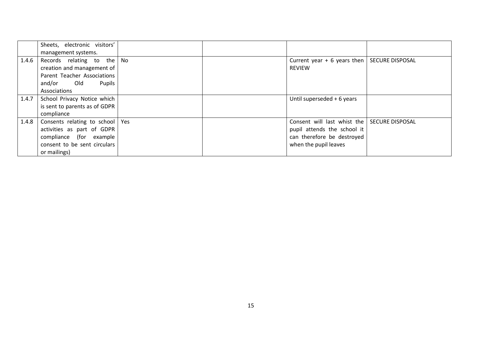|       | Sheets, electronic visitors'<br>management systems.                                                                                        |  |                                                                                                                                   |  |
|-------|--------------------------------------------------------------------------------------------------------------------------------------------|--|-----------------------------------------------------------------------------------------------------------------------------------|--|
| 1.4.6 | Records relating to the $\sqrt{N}$<br>creation and management of<br>Parent Teacher Associations<br>and/or Old<br>Pupils<br>Associations    |  | Current year + 6 years then   SECURE DISPOSAL<br><b>REVIEW</b>                                                                    |  |
| 1.4.7 | School Privacy Notice which<br>is sent to parents as of GDPR<br>compliance                                                                 |  | Until superseded + 6 years                                                                                                        |  |
| 1.4.8 | Consents relating to school   Yes<br>activities as part of GDPR<br>compliance (for example<br>consent to be sent circulars<br>or mailings) |  | Consent will last whist the SECURE DISPOSAL<br>pupil attends the school it<br>can therefore be destroyed<br>when the pupil leaves |  |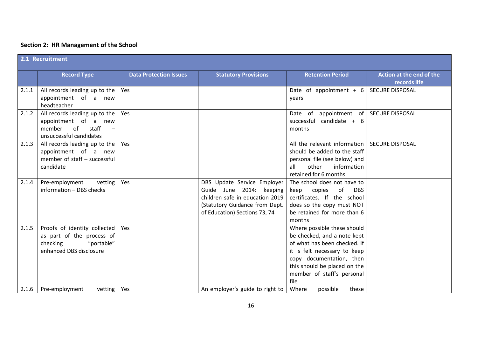# **Section 2: HR Management of the School**

|       | 2.1 Recruitment                                                                                                                       |                               |                                                                                                                                                               |                                                                                                                                                                                                                              |                                          |  |
|-------|---------------------------------------------------------------------------------------------------------------------------------------|-------------------------------|---------------------------------------------------------------------------------------------------------------------------------------------------------------|------------------------------------------------------------------------------------------------------------------------------------------------------------------------------------------------------------------------------|------------------------------------------|--|
|       | <b>Record Type</b>                                                                                                                    | <b>Data Protection Issues</b> | <b>Statutory Provisions</b>                                                                                                                                   | <b>Retention Period</b>                                                                                                                                                                                                      | Action at the end of the<br>records life |  |
| 2.1.1 | All records leading up to the<br>appointment of a new<br>headteacher                                                                  | Yes                           |                                                                                                                                                               | Date of appointment + 6<br>vears                                                                                                                                                                                             | <b>SECURE DISPOSAL</b>                   |  |
| 2.1.2 | All records leading up to the<br>appointment of a new<br>member<br>of<br>staff<br>$\overline{\phantom{m}}$<br>unsuccessful candidates | Yes                           |                                                                                                                                                               | Date of<br>appointment of<br>successful candidate + 6<br>months                                                                                                                                                              | <b>SECURE DISPOSAL</b>                   |  |
| 2.1.3 | All records leading up to the<br>appointment of a new<br>member of staff - successful<br>candidate                                    | Yes                           |                                                                                                                                                               | All the relevant information<br>should be added to the staff<br>personal file (see below) and<br>other<br>information<br>all<br>retained for 6 months                                                                        | <b>SECURE DISPOSAL</b>                   |  |
| 2.1.4 | Pre-employment<br>vetting<br>information - DBS checks                                                                                 | Yes                           | DBS Update Service Employer<br>Guide June 2014: keeping<br>children safe in education 2019<br>(Statutory Guidance from Dept.<br>of Education) Sections 73, 74 | The school does not have to<br>copies<br>keep<br>of<br><b>DBS</b><br>certificates. If the school<br>does so the copy must NOT<br>be retained for more than 6<br>months                                                       |                                          |  |
| 2.1.5 | Proofs of identity collected<br>as part of the process of<br>checking<br>"portable"<br>enhanced DBS disclosure                        | Yes                           |                                                                                                                                                               | Where possible these should<br>be checked, and a note kept<br>of what has been checked. If<br>it is felt necessary to keep<br>copy documentation, then<br>this should be placed on the<br>member of staff's personal<br>file |                                          |  |
| 2.1.6 | Pre-employment<br>vetting                                                                                                             | Yes                           | An employer's guide to right to                                                                                                                               | Where<br>possible<br>these                                                                                                                                                                                                   |                                          |  |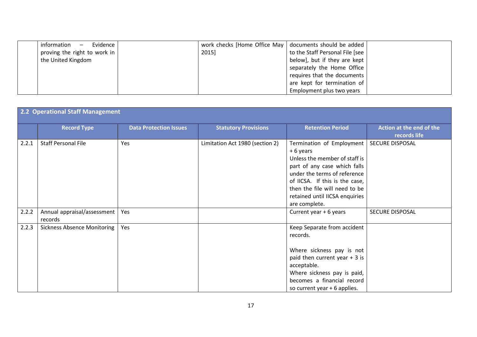| Evidence<br>information<br>$\overline{\phantom{m}}$ | work checks [Home Office May   documents should be added |                                 |  |
|-----------------------------------------------------|----------------------------------------------------------|---------------------------------|--|
| proving the right to work in                        | 2015]                                                    | to the Staff Personal File [see |  |
| the United Kingdom                                  |                                                          | below], but if they are kept    |  |
|                                                     |                                                          | separately the Home Office      |  |
|                                                     |                                                          | requires that the documents     |  |
|                                                     |                                                          | are kept for termination of     |  |
|                                                     |                                                          | Employment plus two years       |  |

|       | 2.2 Operational Staff Management       |                               |                                 |                                                                                                                                                                                                                                                              |                                          |  |
|-------|----------------------------------------|-------------------------------|---------------------------------|--------------------------------------------------------------------------------------------------------------------------------------------------------------------------------------------------------------------------------------------------------------|------------------------------------------|--|
|       | <b>Record Type</b>                     | <b>Data Protection Issues</b> | <b>Statutory Provisions</b>     | <b>Retention Period</b>                                                                                                                                                                                                                                      | Action at the end of the<br>records life |  |
| 2.2.1 | <b>Staff Personal File</b>             | Yes                           | Limitation Act 1980 (section 2) | Termination of Employment<br>+6 years<br>Unless the member of staff is<br>part of any case which falls<br>under the terms of reference<br>of IICSA. If this is the case,<br>then the file will need to be<br>retained until IICSA enquiries<br>are complete. | SECURE DISPOSAL                          |  |
| 2.2.2 | Annual appraisal/assessment<br>records | Yes                           |                                 | Current year + 6 years                                                                                                                                                                                                                                       | SECURE DISPOSAL                          |  |
| 2.2.3 | <b>Sickness Absence Monitoring</b>     | Yes                           |                                 | Keep Separate from accident<br>records.<br>Where sickness pay is not<br>paid then current year $+3$ is<br>acceptable.<br>Where sickness pay is paid,<br>becomes a financial record<br>so current year + 6 applies.                                           |                                          |  |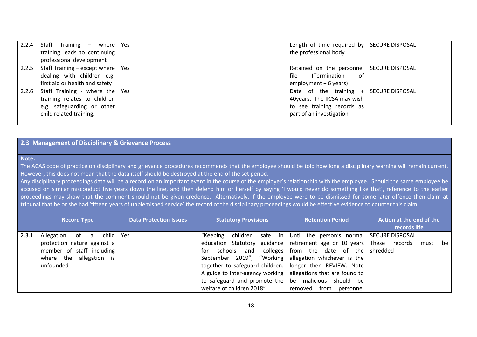| 2.2.4 | Staff Training $-$ where Yes        |  | Length of time required by   SECURE DISPOSAL |                        |
|-------|-------------------------------------|--|----------------------------------------------|------------------------|
|       | training leads to continuing        |  | the professional body                        |                        |
|       | professional development            |  |                                              |                        |
| 2.2.5 | Staff Training – except where   Yes |  | Retained on the personnel   SECURE DISPOSAL  |                        |
|       | dealing with children e.g.          |  | file<br>(Termination<br>of.                  |                        |
|       | first aid or health and safety      |  | employment + 6 years)                        |                        |
| 2.2.6 | Staff Training - where the Yes      |  | Date of the training +                       | <b>SECURE DISPOSAL</b> |
|       | training relates to children        |  | 40years. The IICSA may wish                  |                        |
|       | e.g. safeguarding or other          |  | to see training records as                   |                        |
|       | child related training.             |  | part of an investigation                     |                        |
|       |                                     |  |                                              |                        |

#### **2.3 Management of Disciplinary & Grievance Process**

#### **Note:**

The ACAS code of practice on disciplinary and grievance procedures recommends that the employee should be told how long a disciplinary warning will remain current. However, this does not mean that the data itself should be destroyed at the end of the set period.

Any disciplinary proceedings data will be a record on an important event in the course of the employer's relationship with the employee. Should the same employee be accused on similar misconduct five years down the line, and then defend him or herself by saying 'I would never do something like that', reference to the earlier proceedings may show that the comment should not be given credence. Alternatively, if the employee were to be dismissed for some later offence then claim at tribunal that he or she had 'fifteen years of unblemished service' the record of the disciplinary proceedings would be effective evidence to counter this claim.

|       | <b>Record Type</b>             | <b>Data Protection Issues</b> | <b>Statutory Provisions</b>                                                | <b>Retention Period</b>                                    | Action at the end of the |
|-------|--------------------------------|-------------------------------|----------------------------------------------------------------------------|------------------------------------------------------------|--------------------------|
|       |                                |                               |                                                                            |                                                            | records life             |
| 2.3.1 | child   Yes<br>Allegation of a |                               | "Keeping                                                                   | children safe in Until the person's normal SECURE DISPOSAL |                          |
|       | protection nature against a    |                               | education Statutory guidance retirement age or 10 years These records must |                                                            | be                       |
|       | member of staff including      |                               | schools and<br>tor                                                         | colleges from the date of the shredded                     |                          |
|       | where the allegation is        |                               | September 2019"; "Working allegation whichever is the                      |                                                            |                          |
|       | unfounded                      |                               | together to safeguard children.   longer then REVIEW. Note                 |                                                            |                          |
|       |                                |                               | A guide to inter-agency working $ $ allegations that are found to          |                                                            |                          |
|       |                                |                               | to safeguard and promote the $\vert$ be malicious should be                |                                                            |                          |
|       |                                |                               | welfare of children 2018"                                                  | removed from personnel                                     |                          |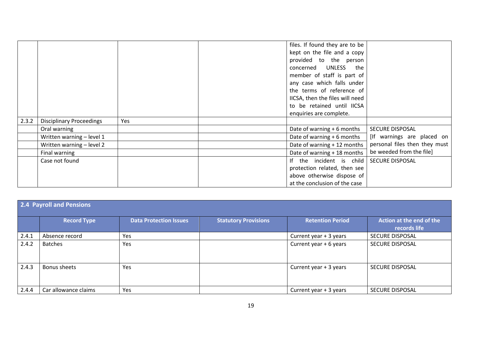|       |                                 |     | files. If found they are to be  |                               |
|-------|---------------------------------|-----|---------------------------------|-------------------------------|
|       |                                 |     | kept on the file and a copy     |                               |
|       |                                 |     | provided to the person          |                               |
|       |                                 |     | concerned UNLESS the            |                               |
|       |                                 |     | member of staff is part of      |                               |
|       |                                 |     | any case which falls under      |                               |
|       |                                 |     | the terms of reference of       |                               |
|       |                                 |     | IICSA, then the files will need |                               |
|       |                                 |     | to be retained until IICSA      |                               |
|       |                                 |     | enquiries are complete.         |                               |
| 2.3.2 | <b>Disciplinary Proceedings</b> | Yes |                                 |                               |
|       | Oral warning                    |     | Date of warning + 6 months      | SECURE DISPOSAL               |
|       | Written warning - level 1       |     | Date of warning + 6 months      | [If warnings are placed on    |
|       | Written warning - level 2       |     | Date of warning + 12 months     | personal files then they must |
|       | Final warning                   |     | Date of warning + 18 months     | be weeded from the file]      |
|       | Case not found                  |     | If the incident is child        | <b>SECURE DISPOSAL</b>        |
|       |                                 |     | protection related, then see    |                               |
|       |                                 |     | above otherwise dispose of      |                               |
|       |                                 |     | at the conclusion of the case   |                               |

|       | 2.4 Payroll and Pensions |                               |                             |                         |                                          |  |  |  |
|-------|--------------------------|-------------------------------|-----------------------------|-------------------------|------------------------------------------|--|--|--|
|       | <b>Record Type</b>       | <b>Data Protection Issues</b> | <b>Statutory Provisions</b> | <b>Retention Period</b> | Action at the end of the<br>records life |  |  |  |
| 2.4.1 | Absence record           | Yes                           |                             | Current year + 3 years  | <b>SECURE DISPOSAL</b>                   |  |  |  |
| 2.4.2 | <b>Batches</b>           | Yes                           |                             | Current year + 6 years  | <b>SECURE DISPOSAL</b>                   |  |  |  |
| 2.4.3 | <b>Bonus sheets</b>      | Yes                           |                             | Current year + 3 years  | <b>SECURE DISPOSAL</b>                   |  |  |  |
| 2.4.4 | Car allowance claims     | Yes                           |                             | Current year + 3 years  | <b>SECURE DISPOSAL</b>                   |  |  |  |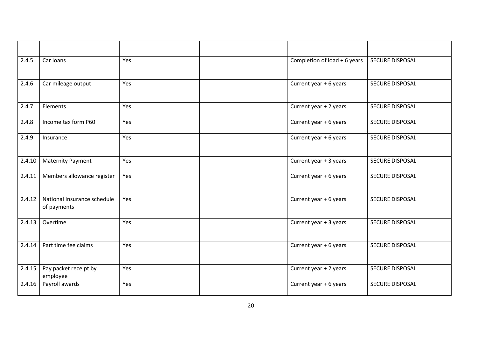| 2.4.5  | Car loans                                  | Yes | Completion of load + 6 years | <b>SECURE DISPOSAL</b> |
|--------|--------------------------------------------|-----|------------------------------|------------------------|
| 2.4.6  | Car mileage output                         | Yes | Current year + 6 years       | SECURE DISPOSAL        |
| 2.4.7  | Elements                                   | Yes | Current year + 2 years       | SECURE DISPOSAL        |
| 2.4.8  | Income tax form P60                        | Yes | Current year + 6 years       | SECURE DISPOSAL        |
| 2.4.9  | Insurance                                  | Yes | Current year + 6 years       | SECURE DISPOSAL        |
| 2.4.10 | <b>Maternity Payment</b>                   | Yes | Current year + 3 years       | <b>SECURE DISPOSAL</b> |
| 2.4.11 | Members allowance register                 | Yes | Current year + 6 years       | <b>SECURE DISPOSAL</b> |
| 2.4.12 | National Insurance schedule<br>of payments | Yes | Current year + 6 years       | <b>SECURE DISPOSAL</b> |
| 2.4.13 | Overtime                                   | Yes | Current year + 3 years       | <b>SECURE DISPOSAL</b> |
| 2.4.14 | Part time fee claims                       | Yes | Current year + 6 years       | SECURE DISPOSAL        |
| 2.4.15 | Pay packet receipt by<br>employee          | Yes | Current year + 2 years       | SECURE DISPOSAL        |
| 2.4.16 | Payroll awards                             | Yes | Current year + 6 years       | <b>SECURE DISPOSAL</b> |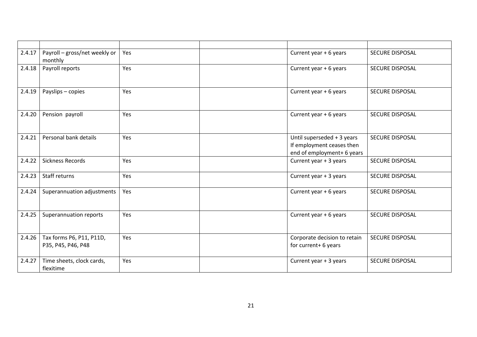| 2.4.17 | Payroll - gross/net weekly or<br>monthly       | Yes | Current year + 6 years                                                                | <b>SECURE DISPOSAL</b> |
|--------|------------------------------------------------|-----|---------------------------------------------------------------------------------------|------------------------|
| 2.4.18 | Payroll reports                                | Yes | Current year + 6 years                                                                | SECURE DISPOSAL        |
| 2.4.19 | Payslips - copies                              | Yes | Current year + 6 years                                                                | <b>SECURE DISPOSAL</b> |
| 2.4.20 | Pension payroll                                | Yes | Current year + 6 years                                                                | <b>SECURE DISPOSAL</b> |
| 2.4.21 | Personal bank details                          | Yes | Until superseded + 3 years<br>If employment ceases then<br>end of employment+ 6 years | SECURE DISPOSAL        |
| 2.4.22 | <b>Sickness Records</b>                        | Yes | Current year + 3 years                                                                | <b>SECURE DISPOSAL</b> |
| 2.4.23 | Staff returns                                  | Yes | Current year + 3 years                                                                | <b>SECURE DISPOSAL</b> |
| 2.4.24 | Superannuation adjustments                     | Yes | Current year + 6 years                                                                | <b>SECURE DISPOSAL</b> |
| 2.4.25 | Superannuation reports                         | Yes | Current year + 6 years                                                                | <b>SECURE DISPOSAL</b> |
| 2.4.26 | Tax forms P6, P11, P11D,<br>P35, P45, P46, P48 | Yes | Corporate decision to retain<br>for current+ 6 years                                  | <b>SECURE DISPOSAL</b> |
| 2.4.27 | Time sheets, clock cards,<br>flexitime         | Yes | Current year + 3 years                                                                | <b>SECURE DISPOSAL</b> |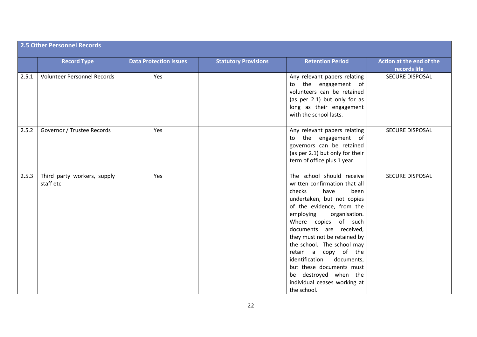|       | <b>2.5 Other Personnel Records</b>       |                               |                             |                                                                                                                                                                                                                                                                                                                                                                                                                                                            |                                          |  |  |  |
|-------|------------------------------------------|-------------------------------|-----------------------------|------------------------------------------------------------------------------------------------------------------------------------------------------------------------------------------------------------------------------------------------------------------------------------------------------------------------------------------------------------------------------------------------------------------------------------------------------------|------------------------------------------|--|--|--|
|       | <b>Record Type</b>                       | <b>Data Protection Issues</b> | <b>Statutory Provisions</b> | <b>Retention Period</b>                                                                                                                                                                                                                                                                                                                                                                                                                                    | Action at the end of the<br>records life |  |  |  |
| 2.5.1 | <b>Volunteer Personnel Records</b>       | Yes                           |                             | Any relevant papers relating<br>the engagement of<br>to<br>volunteers can be retained<br>(as per 2.1) but only for as<br>long as their engagement<br>with the school lasts.                                                                                                                                                                                                                                                                                | <b>SECURE DISPOSAL</b>                   |  |  |  |
| 2.5.2 | Governor / Trustee Records               | Yes                           |                             | Any relevant papers relating<br>to the engagement of<br>governors can be retained<br>(as per 2.1) but only for their<br>term of office plus 1 year.                                                                                                                                                                                                                                                                                                        | <b>SECURE DISPOSAL</b>                   |  |  |  |
| 2.5.3 | Third party workers, supply<br>staff etc | Yes                           |                             | The school should receive<br>written confirmation that all<br>checks<br>have<br>been<br>undertaken, but not copies<br>of the evidence, from the<br>employing<br>organisation.<br>Where copies of such<br>documents are received,<br>they must not be retained by<br>the school. The school may<br>retain a copy of the<br>identification<br>documents,<br>but these documents must<br>be destroyed when the<br>individual ceases working at<br>the school. | <b>SECURE DISPOSAL</b>                   |  |  |  |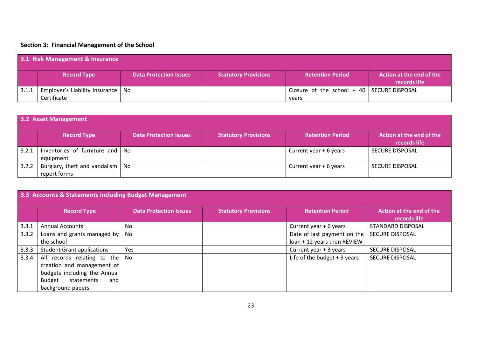# **Section 3: Financial Management of the School**

|       | 3.1 Risk Management & Insurance     |                               |                             |                                                |                                          |  |  |  |
|-------|-------------------------------------|-------------------------------|-----------------------------|------------------------------------------------|------------------------------------------|--|--|--|
|       | <b>Record Type</b>                  | <b>Data Protection Issues</b> | <b>Statutory Provisions</b> | <b>Retention Period</b>                        | Action at the end of the<br>records life |  |  |  |
| 3.1.1 | Employer's Liability Insurance   No |                               |                             | Closure of the school $+$ 40   SECURE DISPOSAL |                                          |  |  |  |
|       | Certificate                         |                               |                             | years                                          |                                          |  |  |  |

|       | 3.2 Asset Management                               |                               |                             |                         |                                          |  |  |  |  |
|-------|----------------------------------------------------|-------------------------------|-----------------------------|-------------------------|------------------------------------------|--|--|--|--|
|       | <b>Record Type</b>                                 | <b>Data Protection Issues</b> | <b>Statutory Provisions</b> | <b>Retention Period</b> | Action at the end of the<br>records life |  |  |  |  |
| 3.2.1 | Inventories of furniture and   No<br>equipment     |                               |                             | Current year + 6 years  | <b>SECURE DISPOSAL</b>                   |  |  |  |  |
| 3.2.2 | Burglary, theft and vandalism   No<br>report forms |                               |                             | Current year + 6 years  | <b>SECURE DISPOSAL</b>                   |  |  |  |  |

|       | 3.3 Accounts & Statements including Budget Management                                                                                                     |                               |                             |                                                            |                                          |  |  |  |  |
|-------|-----------------------------------------------------------------------------------------------------------------------------------------------------------|-------------------------------|-----------------------------|------------------------------------------------------------|------------------------------------------|--|--|--|--|
|       | <b>Record Type</b>                                                                                                                                        | <b>Data Protection Issues</b> | <b>Statutory Provisions</b> | <b>Retention Period</b>                                    | Action at the end of the<br>records life |  |  |  |  |
| 3.3.1 | <b>Annual Accounts</b>                                                                                                                                    | No.                           |                             | Current year + 6 years                                     | STANDARD DISPOSAL                        |  |  |  |  |
| 3.3.2 | Loans and grants managed by $\vert$<br>the school                                                                                                         | No                            |                             | Date of last payment on the<br>loan + 12 years then REVIEW | <b>SECURE DISPOSAL</b>                   |  |  |  |  |
| 3.3.3 | <b>Student Grant applications</b>                                                                                                                         | Yes                           |                             | Current year + 3 years                                     | <b>SECURE DISPOSAL</b>                   |  |  |  |  |
| 3.3.4 | All records relating to the   No<br>creation and management of<br>budgets including the Annual<br><b>Budget</b><br>statements<br>and<br>background papers |                               |                             | Life of the budget $+3$ years                              | <b>SECURE DISPOSAL</b>                   |  |  |  |  |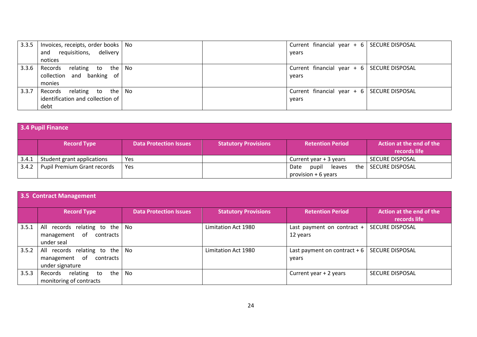| 3.3.5 | Invoices, receipts, order books   No |  | Current financial year + 6   SECURE DISPOSAL |  |
|-------|--------------------------------------|--|----------------------------------------------|--|
|       | and requisitions, delivery           |  | years                                        |  |
|       | notices                              |  |                                              |  |
| 3.3.6 | Records relating to the No           |  | Current financial year $+ 6$ SECURE DISPOSAL |  |
|       | collection and banking of            |  | vears                                        |  |
|       | monies                               |  |                                              |  |
| 3.3.7 | Records relating to the   No         |  | Current financial year $+ 6$ SECURE DISPOSAL |  |
|       | identification and collection of     |  | vears                                        |  |
|       | debt                                 |  |                                              |  |

| 3.4 Pupil Finance |                             |                               |                             |                                                 |                                          |  |  |  |
|-------------------|-----------------------------|-------------------------------|-----------------------------|-------------------------------------------------|------------------------------------------|--|--|--|
|                   | <b>Record Type</b>          | <b>Data Protection Issues</b> | <b>Statutory Provisions</b> | <b>Retention Period</b>                         | Action at the end of the<br>records life |  |  |  |
| 3.4.1             | Student grant applications  | Yes                           |                             | Current year + 3 years                          | <b>SECURE DISPOSAL</b>                   |  |  |  |
| 3.4.2             | Pupil Premium Grant records | Yes                           |                             | pupil<br>Date<br>leaves<br>provision $+6$ years | the   SECURE DISPOSAL                    |  |  |  |

|       | 3.5 Contract Management                                                               |                               |                             |                                        |                                          |  |  |  |  |
|-------|---------------------------------------------------------------------------------------|-------------------------------|-----------------------------|----------------------------------------|------------------------------------------|--|--|--|--|
|       | <b>Record Type</b>                                                                    | <b>Data Protection Issues</b> | <b>Statutory Provisions</b> | <b>Retention Period</b>                | Action at the end of the<br>records life |  |  |  |  |
| 3.5.1 | All records relating to the $\vert$ No<br>of<br>contracts<br>management<br>under seal |                               | Limitation Act 1980         | Last payment on contract +<br>12 years | <b>SECURE DISPOSAL</b>                   |  |  |  |  |
| 3.5.2 | All records relating to the<br>management of<br>contracts<br>under signature          | No                            | Limitation Act 1980         | Last payment on contract $+6$<br>years | <b>SECURE DISPOSAL</b>                   |  |  |  |  |
| 3.5.3 | relating to<br>the<br>Records<br>monitoring of contracts                              | No                            |                             | Current year + 2 years                 | <b>SECURE DISPOSAL</b>                   |  |  |  |  |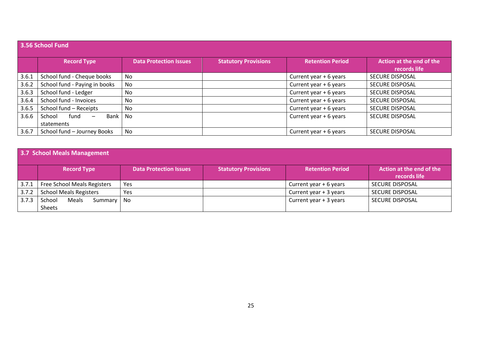|       | 3.56 School Fund                                     |                               |                             |                         |                                          |  |  |  |  |
|-------|------------------------------------------------------|-------------------------------|-----------------------------|-------------------------|------------------------------------------|--|--|--|--|
|       | <b>Record Type</b>                                   | <b>Data Protection Issues</b> | <b>Statutory Provisions</b> | <b>Retention Period</b> | Action at the end of the<br>records life |  |  |  |  |
| 3.6.1 | School fund - Cheque books                           | No                            |                             | Current year + 6 years  | <b>SECURE DISPOSAL</b>                   |  |  |  |  |
| 3.6.2 | School fund - Paying in books                        | No                            |                             | Current year + 6 years  | <b>SECURE DISPOSAL</b>                   |  |  |  |  |
| 3.6.3 | School fund - Ledger                                 | No                            |                             | Current year + 6 years  | <b>SECURE DISPOSAL</b>                   |  |  |  |  |
| 3.6.4 | School fund - Invoices                               | No                            |                             | Current year + 6 years  | <b>SECURE DISPOSAL</b>                   |  |  |  |  |
| 3.6.5 | School fund - Receipts                               | No                            |                             | Current year + 6 years  | <b>SECURE DISPOSAL</b>                   |  |  |  |  |
| 3.6.6 | fund<br>School<br>Bank I<br>$\overline{\phantom{m}}$ | No                            |                             | Current year + 6 years  | <b>SECURE DISPOSAL</b>                   |  |  |  |  |
|       | statements                                           |                               |                             |                         |                                          |  |  |  |  |
| 3.6.7 | School fund - Journey Books                          | No                            |                             | Current year + 6 years  | <b>SECURE DISPOSAL</b>                   |  |  |  |  |

| 3.7 School Meals Management |                                           |                               |                             |                         |                                          |  |  |  |
|-----------------------------|-------------------------------------------|-------------------------------|-----------------------------|-------------------------|------------------------------------------|--|--|--|
|                             | <b>Record Type</b>                        | <b>Data Protection Issues</b> | <b>Statutory Provisions</b> | <b>Retention Period</b> | Action at the end of the<br>records life |  |  |  |
| 3.7.1                       | Free School Meals Registers               | Yes                           |                             | Current year + 6 years  | <b>SECURE DISPOSAL</b>                   |  |  |  |
| 3.7.2                       | <b>School Meals Registers</b>             | Yes                           |                             | Current year + 3 years  | <b>SECURE DISPOSAL</b>                   |  |  |  |
| 3.7.3                       | School<br>Meals<br>Summary   No<br>Sheets |                               |                             | Current year + 3 years  | <b>SECURE DISPOSAL</b>                   |  |  |  |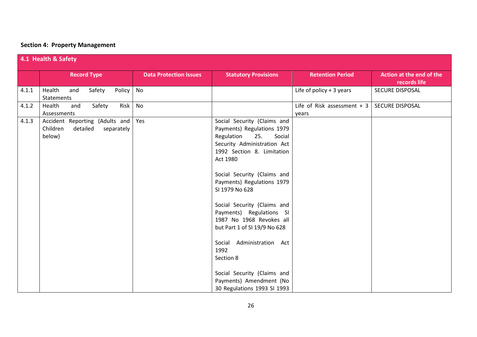# **Section 4: Property Management**

| 4.1 Health & Safety |                                                                                |                               |                                                                                                                                                                                                                                                                                                                                                                                                                                                                                                                    |                                       |                                          |  |  |
|---------------------|--------------------------------------------------------------------------------|-------------------------------|--------------------------------------------------------------------------------------------------------------------------------------------------------------------------------------------------------------------------------------------------------------------------------------------------------------------------------------------------------------------------------------------------------------------------------------------------------------------------------------------------------------------|---------------------------------------|------------------------------------------|--|--|
|                     | <b>Record Type</b>                                                             | <b>Data Protection Issues</b> | <b>Statutory Provisions</b>                                                                                                                                                                                                                                                                                                                                                                                                                                                                                        | <b>Retention Period</b>               | Action at the end of the<br>records life |  |  |
| 4.1.1               | Health<br>Safety<br>Policy<br>and<br>Statements                                | No                            |                                                                                                                                                                                                                                                                                                                                                                                                                                                                                                                    | Life of policy $+3$ years             | SECURE DISPOSAL                          |  |  |
| 4.1.2               | Health<br>Safety<br>Risk<br>and<br>Assessments                                 | No                            |                                                                                                                                                                                                                                                                                                                                                                                                                                                                                                                    | Life of Risk assessment $+3$<br>years | SECURE DISPOSAL                          |  |  |
| 4.1.3               | Accident Reporting (Adults and<br>Children<br>detailed<br>separately<br>below) | Yes                           | Social Security (Claims and<br>Payments) Regulations 1979<br>Regulation<br>25.<br>Social<br>Security Administration Act<br>1992 Section 8. Limitation<br>Act 1980<br>Social Security (Claims and<br>Payments) Regulations 1979<br>SI 1979 No 628<br>Social Security (Claims and<br>Payments) Regulations SI<br>1987 No 1968 Revokes all<br>but Part 1 of SI 19/9 No 628<br>Social Administration Act<br>1992<br>Section 8<br>Social Security (Claims and<br>Payments) Amendment (No<br>30 Regulations 1993 SI 1993 |                                       |                                          |  |  |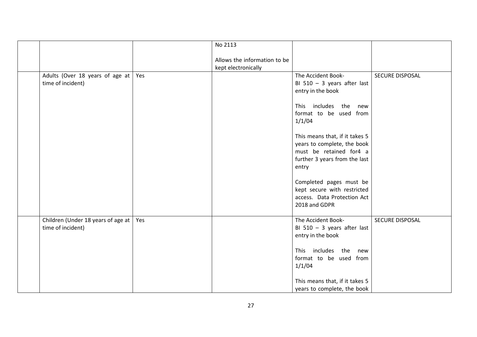|                                                         |     | No 2113                                             |                                                                                                                                                                                                                                                                                                                                                                      |                 |
|---------------------------------------------------------|-----|-----------------------------------------------------|----------------------------------------------------------------------------------------------------------------------------------------------------------------------------------------------------------------------------------------------------------------------------------------------------------------------------------------------------------------------|-----------------|
|                                                         |     | Allows the information to be<br>kept electronically |                                                                                                                                                                                                                                                                                                                                                                      |                 |
| Adults (Over 18 years of age at<br>time of incident)    | Yes |                                                     | The Accident Book-<br>BI 510 $-$ 3 years after last<br>entry in the book<br>This includes the new<br>format to be used from<br>1/1/04<br>This means that, if it takes 5<br>years to complete, the book<br>must be retained for4 a<br>further 3 years from the last<br>entry<br>Completed pages must be<br>kept secure with restricted<br>access. Data Protection Act | SECURE DISPOSAL |
|                                                         |     |                                                     | 2018 and GDPR                                                                                                                                                                                                                                                                                                                                                        |                 |
| Children (Under 18 years of age at<br>time of incident) | Yes |                                                     | The Accident Book-<br>BI 510 $-$ 3 years after last<br>entry in the book<br>This includes the new<br>format to be used from<br>1/1/04                                                                                                                                                                                                                                | SECURE DISPOSAL |
|                                                         |     |                                                     | This means that, if it takes 5<br>years to complete, the book                                                                                                                                                                                                                                                                                                        |                 |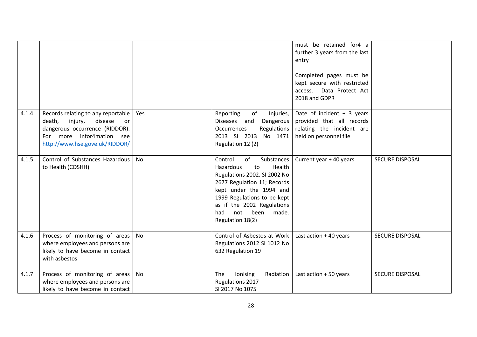|       |                                                                                                                                                                           |           |                                                                                                                                                                                                                                                                 | must be retained for4 a<br>further 3 years from the last<br>entry<br>Completed pages must be<br>kept secure with restricted<br>Data Protect Act<br>access.<br>2018 and GDPR |                        |
|-------|---------------------------------------------------------------------------------------------------------------------------------------------------------------------------|-----------|-----------------------------------------------------------------------------------------------------------------------------------------------------------------------------------------------------------------------------------------------------------------|-----------------------------------------------------------------------------------------------------------------------------------------------------------------------------|------------------------|
| 4.1.4 | Records relating to any reportable<br>death,<br>injury,<br>disease<br>or<br>dangerous occurrence (RIDDOR).<br>For more infor4mation see<br>http://www.hse.gove.uk/RIDDOR/ | Yes       | of<br>Reporting<br>Injuries,<br>Diseases and<br>Dangerous<br>Regulations<br><b>Occurrences</b><br>2013 SI 2013 No 1471<br>Regulation 12 (2)                                                                                                                     | Date of incident $+3$ years<br>provided that all records<br>relating the incident are<br>held on personnel file                                                             |                        |
| 4.1.5 | Control of Substances Hazardous<br>to Health (COSHH)                                                                                                                      | <b>No</b> | Control<br>Substances<br>of<br>Hazardous<br>Health<br>to<br>Regulations 2002. SI 2002 No<br>2677 Regulation 11; Records<br>kept under the 1994 and<br>1999 Regulations to be kept<br>as if the 2002 Regulations<br>not been<br>had<br>made.<br>Regulation 18(2) | Current year + 40 years                                                                                                                                                     | <b>SECURE DISPOSAL</b> |
| 4.1.6 | Process of monitoring of areas<br>where employees and persons are<br>likely to have become in contact<br>with asbestos                                                    | No        | Control of Asbestos at Work<br>Regulations 2012 SI 1012 No<br>632 Regulation 19                                                                                                                                                                                 | Last action $+40$ years                                                                                                                                                     | <b>SECURE DISPOSAL</b> |
| 4.1.7 | Process of monitoring of areas<br>where employees and persons are<br>likely to have become in contact                                                                     | No        | Radiation<br>lonising<br>The<br>Regulations 2017<br>SI 2017 No 1075                                                                                                                                                                                             | Last action + 50 years                                                                                                                                                      | SECURE DISPOSAL        |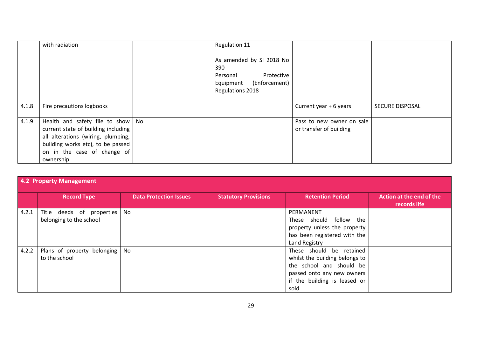|       | with radiation                                                                                                                                                                                    | Regulation 11                                                                                            |                                                      |                        |
|-------|---------------------------------------------------------------------------------------------------------------------------------------------------------------------------------------------------|----------------------------------------------------------------------------------------------------------|------------------------------------------------------|------------------------|
|       |                                                                                                                                                                                                   | As amended by SI 2018 No<br>390<br>Protective<br>Personal<br>Equipment (Enforcement)<br>Regulations 2018 |                                                      |                        |
| 4.1.8 | Fire precautions logbooks                                                                                                                                                                         |                                                                                                          | Current year + 6 years                               | <b>SECURE DISPOSAL</b> |
| 4.1.9 | Health and safety file to show   No<br>current state of building including<br>all alterations (wiring, plumbing,<br>building works etc), to be passed<br>on in the case of change of<br>ownership |                                                                                                          | Pass to new owner on sale<br>or transfer of building |                        |

|       | 4.2 Property Management                              |                               |                             |                                                                                                                                                              |                                          |  |  |  |
|-------|------------------------------------------------------|-------------------------------|-----------------------------|--------------------------------------------------------------------------------------------------------------------------------------------------------------|------------------------------------------|--|--|--|
|       | <b>Record Type</b>                                   | <b>Data Protection Issues</b> | <b>Statutory Provisions</b> | <b>Retention Period</b>                                                                                                                                      | Action at the end of the<br>records life |  |  |  |
| 4.2.1 | Title deeds of properties<br>belonging to the school | No                            |                             | PERMANENT<br>These should follow the<br>property unless the property<br>has been registered with the<br>Land Registry                                        |                                          |  |  |  |
| 4.2.2 | Plans of property belonging   No<br>to the school    |                               |                             | These should be retained<br>whilst the building belongs to<br>the school and should be<br>passed onto any new owners<br>if the building is leased or<br>sold |                                          |  |  |  |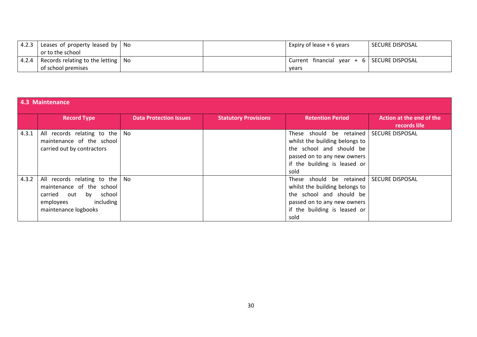| 4.2.3   | Leases of property leased by $\vert$ No |  | Expiry of lease + 6 years                    | SECURE DISPOSAL |
|---------|-----------------------------------------|--|----------------------------------------------|-----------------|
|         | or to the school                        |  |                                              |                 |
| $4.2.4$ | Records relating to the letting   No    |  | Current financial year $+ 6$ SECURE DISPOSAL |                 |
|         | of school premises                      |  | vears                                        |                 |

|       | 4.3 Maintenance                                                                                                                             |                               |                             |                                                                                                                                                               |                                          |  |  |  |
|-------|---------------------------------------------------------------------------------------------------------------------------------------------|-------------------------------|-----------------------------|---------------------------------------------------------------------------------------------------------------------------------------------------------------|------------------------------------------|--|--|--|
|       | <b>Record Type</b>                                                                                                                          | <b>Data Protection Issues</b> | <b>Statutory Provisions</b> | <b>Retention Period</b>                                                                                                                                       | Action at the end of the<br>records life |  |  |  |
| 4.3.1 | All records relating to the $\vert$ No<br>maintenance of the school<br>carried out by contractors                                           |                               |                             | These should be retained<br>whilst the building belongs to<br>the school and should be<br>passed on to any new owners<br>if the building is leased or<br>sold | <b>SECURE DISPOSAL</b>                   |  |  |  |
| 4.3.2 | All records relating to the   No<br>maintenance of the school<br>carried out by<br>school<br>including<br>employees<br>maintenance logbooks |                               |                             | These should be retained<br>whilst the building belongs to<br>the school and should be<br>passed on to any new owners<br>if the building is leased or<br>sold | <b>SECURE DISPOSAL</b>                   |  |  |  |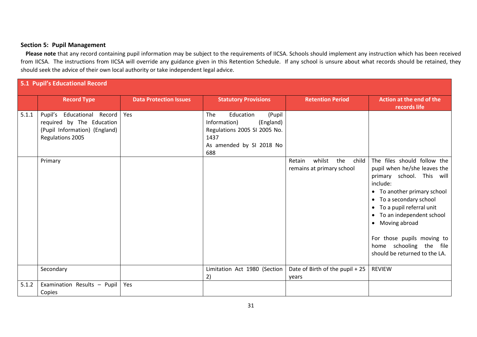#### **Section 5: Pupil Management**

Please note that any record containing pupil information may be subject to the requirements of IICSA. Schools should implement any instruction which has been received from IICSA. The instructions from IICSA will override any guidance given in this Retention Schedule. If any school is unsure about what records should be retained, they should seek the advice of their own local authority or take independent legal advice.

|       | 5.1 Pupil's Educational Record                                                                                         |                               |                                                                                                                                    |                                                               |                                                                                                                                                                                                                                                                                                                                                    |  |  |
|-------|------------------------------------------------------------------------------------------------------------------------|-------------------------------|------------------------------------------------------------------------------------------------------------------------------------|---------------------------------------------------------------|----------------------------------------------------------------------------------------------------------------------------------------------------------------------------------------------------------------------------------------------------------------------------------------------------------------------------------------------------|--|--|
|       | <b>Record Type</b>                                                                                                     | <b>Data Protection Issues</b> | <b>Statutory Provisions</b>                                                                                                        | <b>Retention Period</b>                                       | Action at the end of the<br>records life                                                                                                                                                                                                                                                                                                           |  |  |
| 5.1.1 | Pupil's<br><b>Educational Record</b><br>required by The Education<br>(Pupil Information) (England)<br>Regulations 2005 | Yes                           | The<br>Education<br>(Pupil<br>Information)<br>(England)<br>Regulations 2005 SI 2005 No.<br>1437<br>As amended by SI 2018 No<br>688 |                                                               |                                                                                                                                                                                                                                                                                                                                                    |  |  |
|       | Primary                                                                                                                |                               |                                                                                                                                    | the<br>whilst<br>Retain<br>child<br>remains at primary school | The files should follow the<br>pupil when he/she leaves the<br>primary school. This will<br>include:<br>• To another primary school<br>To a secondary school<br>$\bullet$<br>• To a pupil referral unit<br>• To an independent school<br>• Moving abroad<br>For those pupils moving to<br>home schooling the file<br>should be returned to the LA. |  |  |
|       | Secondary                                                                                                              |                               | Limitation Act 1980 (Section<br>2)                                                                                                 | Date of Birth of the pupil + 25<br>vears                      | <b>REVIEW</b>                                                                                                                                                                                                                                                                                                                                      |  |  |
| 5.1.2 | Examination Results - Pupil<br>Copies                                                                                  | Yes                           |                                                                                                                                    |                                                               |                                                                                                                                                                                                                                                                                                                                                    |  |  |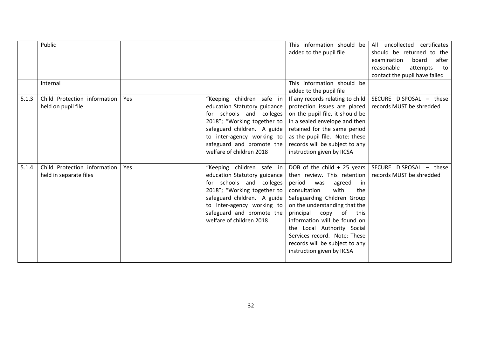|       | Public<br>Internal                                     |     |                                                                                                                                                                                                                                            | This information should be<br>added to the pupil file<br>This information should be<br>added to the pupil file                                                                                                                                                                                                                                                                                | All uncollected certificates<br>should be returned to the<br>after<br>examination<br>board<br>reasonable<br>attempts<br>to<br>contact the pupil have failed |
|-------|--------------------------------------------------------|-----|--------------------------------------------------------------------------------------------------------------------------------------------------------------------------------------------------------------------------------------------|-----------------------------------------------------------------------------------------------------------------------------------------------------------------------------------------------------------------------------------------------------------------------------------------------------------------------------------------------------------------------------------------------|-------------------------------------------------------------------------------------------------------------------------------------------------------------|
| 5.1.3 | Child Protection information<br>held on pupil file     | Yes | "Keeping children safe in<br>education Statutory guidance<br>for schools and colleges<br>2018"; "Working together to<br>safeguard children. A guide<br>to inter-agency working to<br>safeguard and promote the<br>welfare of children 2018 | If any records relating to child<br>protection issues are placed<br>on the pupil file, it should be<br>in a sealed envelope and then<br>retained for the same period<br>as the pupil file. Note: these<br>records will be subject to any<br>instruction given by IICSA                                                                                                                        | SECURE DISPOSAL - these<br>records MUST be shredded                                                                                                         |
| 5.1.4 | Child Protection information<br>held in separate files | Yes | "Keeping children safe in<br>education Statutory guidance<br>for schools and colleges<br>2018"; "Working together to<br>safeguard children. A guide<br>to inter-agency working to<br>safeguard and promote the<br>welfare of children 2018 | DOB of the child $+25$ years<br>then review. This retention<br>period<br>agreed<br>was<br>-in<br>with<br>consultation<br>the<br>Safeguarding Children Group<br>on the understanding that the<br>principal<br>of<br>copy<br>this<br>information will be found on<br>the Local Authority Social<br>Services record. Note: These<br>records will be subject to any<br>instruction given by IICSA | SECURE DISPOSAL - these<br>records MUST be shredded                                                                                                         |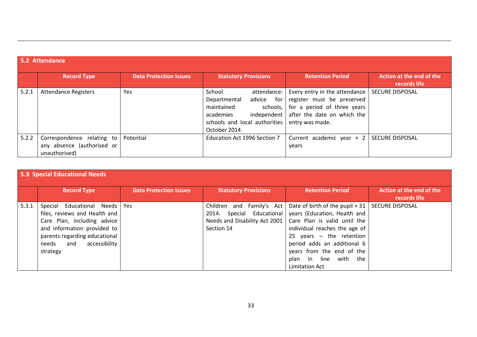# **5.2 Attendance**

|       | <b>Record Type</b>                                                        | <b>Data Protection Issues</b> | <b>Statutory Provisions</b>                                                                                                                                     | <b>Retention Period</b>                                                                                                                                        | Action at the end of the<br>records life |
|-------|---------------------------------------------------------------------------|-------------------------------|-----------------------------------------------------------------------------------------------------------------------------------------------------------------|----------------------------------------------------------------------------------------------------------------------------------------------------------------|------------------------------------------|
| 5.2.1 | <b>Attendance Registers</b>                                               | Yes                           | School<br>attendance:<br>advice<br>for<br>Departmental<br>maintained<br>schools,<br>independent  <br>academies<br>schools and local authorities<br>October 2014 | Every entry in the attendance   SECURE DISPOSAL<br>register must be preserved<br>for a period of three years<br>after the date on which the<br>entry was made. |                                          |
| 5.2.2 | Correspondence relating to<br>any absence (authorised or<br>unauthorised) | Potential                     | Education Act 1996 Section 7                                                                                                                                    | Current academic year + 2<br>vears                                                                                                                             | <b>SECURE DISPOSAL</b>                   |

|       | <b>5.3 Special Educational Needs</b>                                                                                                                                                                       |                               |                                                                                                          |                                                                                                                                                                                                                                                                                               |                                          |  |  |  |
|-------|------------------------------------------------------------------------------------------------------------------------------------------------------------------------------------------------------------|-------------------------------|----------------------------------------------------------------------------------------------------------|-----------------------------------------------------------------------------------------------------------------------------------------------------------------------------------------------------------------------------------------------------------------------------------------------|------------------------------------------|--|--|--|
|       | <b>Record Type</b>                                                                                                                                                                                         | <b>Data Protection Issues</b> | <b>Statutory Provisions</b>                                                                              | <b>Retention Period</b>                                                                                                                                                                                                                                                                       | Action at the end of the<br>records life |  |  |  |
| 5.3.1 | Special Educational Needs Yes<br>files, reviews and Health and<br>Care Plan, including advice<br>and information provided to<br>parents regarding educational<br>accessibility<br>and<br>needs<br>strategy |                               | Children and Family's Act<br>Special Educational<br>2014:<br>Needs and Disability Act 2001<br>Section 14 | Date of birth of the pupil $+31$ SECURE DISPOSAL<br>years (Education, Health and<br>Care Plan is valid until the<br>individual reaches the age of<br>25 years $-$ the retention<br>period adds an additional 6<br>years from the end of the<br>plan in line with the<br><b>Limitation Act</b> |                                          |  |  |  |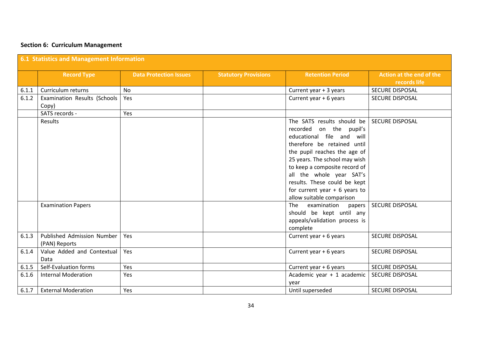# **Section 6: Curriculum Management**

|       | 6.1 Statistics and Management Information   |                               |                             |                                                                                                                                                                                                                                                                                                                                                 |                                          |  |  |  |
|-------|---------------------------------------------|-------------------------------|-----------------------------|-------------------------------------------------------------------------------------------------------------------------------------------------------------------------------------------------------------------------------------------------------------------------------------------------------------------------------------------------|------------------------------------------|--|--|--|
|       | <b>Record Type</b>                          | <b>Data Protection Issues</b> | <b>Statutory Provisions</b> | <b>Retention Period</b>                                                                                                                                                                                                                                                                                                                         | Action at the end of the<br>records life |  |  |  |
| 6.1.1 | Curriculum returns                          | <b>No</b>                     |                             | Current year + 3 years                                                                                                                                                                                                                                                                                                                          | <b>SECURE DISPOSAL</b>                   |  |  |  |
| 6.1.2 | Examination Results (Schools<br>Copy)       | Yes                           |                             | Current year + 6 years                                                                                                                                                                                                                                                                                                                          | <b>SECURE DISPOSAL</b>                   |  |  |  |
|       | SATS records -                              | Yes                           |                             |                                                                                                                                                                                                                                                                                                                                                 |                                          |  |  |  |
|       | Results                                     |                               |                             | The SATS results should be<br>recorded on the pupil's<br>educational file and will<br>therefore be retained until<br>the pupil reaches the age of<br>25 years. The school may wish<br>to keep a composite record of<br>all the whole year SAT's<br>results. These could be kept<br>for current year $+ 6$ years to<br>allow suitable comparison | <b>SECURE DISPOSAL</b>                   |  |  |  |
|       | <b>Examination Papers</b>                   |                               |                             | The<br>examination<br>papers<br>should be kept until any<br>appeals/validation process is<br>complete                                                                                                                                                                                                                                           | <b>SECURE DISPOSAL</b>                   |  |  |  |
| 6.1.3 | Published Admission Number<br>(PAN) Reports | Yes                           |                             | Current year + 6 years                                                                                                                                                                                                                                                                                                                          | <b>SECURE DISPOSAL</b>                   |  |  |  |
| 6.1.4 | Value Added and Contextual<br>Data          | Yes                           |                             | Current year + 6 years                                                                                                                                                                                                                                                                                                                          | SECURE DISPOSAL                          |  |  |  |
| 6.1.5 | Self-Evaluation forms                       | Yes                           |                             | Current year + 6 years                                                                                                                                                                                                                                                                                                                          | SECURE DISPOSAL                          |  |  |  |
| 6.1.6 | <b>Internal Moderation</b>                  | Yes                           |                             | Academic year + 1 academic<br>vear                                                                                                                                                                                                                                                                                                              | <b>SECURE DISPOSAL</b>                   |  |  |  |
| 6.1.7 | <b>External Moderation</b>                  | Yes                           |                             | Until superseded                                                                                                                                                                                                                                                                                                                                | <b>SECURE DISPOSAL</b>                   |  |  |  |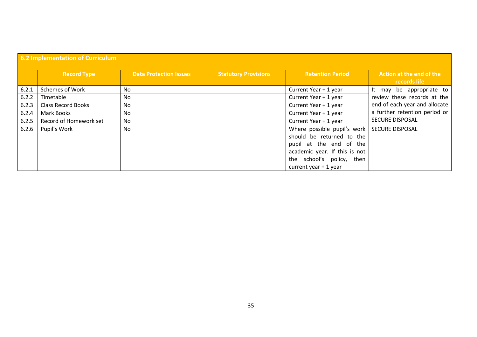|       | 6.2 Implementation of Curriculum |                               |                             |                               |                                          |  |  |  |
|-------|----------------------------------|-------------------------------|-----------------------------|-------------------------------|------------------------------------------|--|--|--|
|       | <b>Record Type</b>               | <b>Data Protection Issues</b> | <b>Statutory Provisions</b> | <b>Retention Period</b>       | Action at the end of the<br>records life |  |  |  |
| 6.2.1 | <b>Schemes of Work</b>           | No                            |                             | Current Year + 1 year         | It may be appropriate to                 |  |  |  |
| 6.2.2 | Timetable                        | No                            |                             | Current Year + 1 year         | review these records at the              |  |  |  |
| 6.2.3 | <b>Class Record Books</b>        | No                            |                             | Current Year + 1 year         | end of each year and allocate            |  |  |  |
| 6.2.4 | Mark Books                       | No                            |                             | Current Year + 1 year         | a further retention period or            |  |  |  |
| 6.2.5 | Record of Homework set           | No                            |                             | Current Year + 1 year         | <b>SECURE DISPOSAL</b>                   |  |  |  |
| 6.2.6 | Pupil's Work                     | No                            |                             | Where possible pupil's work   | <b>SECURE DISPOSAL</b>                   |  |  |  |
|       |                                  |                               |                             | should be returned to the     |                                          |  |  |  |
|       |                                  |                               |                             | pupil at the end of the       |                                          |  |  |  |
|       |                                  |                               |                             | academic year. If this is not |                                          |  |  |  |
|       |                                  |                               |                             | the school's policy, then     |                                          |  |  |  |
|       |                                  |                               |                             | current year $+1$ year        |                                          |  |  |  |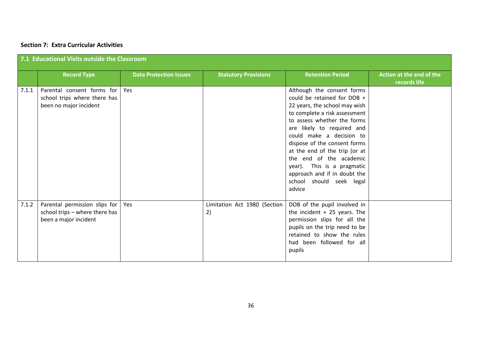#### **Section 7: Extra Curricular Activities**

|       | 7.1 Educational Visits outside the Classroom                                             |                               |                                    |                                                                                                                                                                                                                                                                                                                                                                                                                      |                                          |  |  |
|-------|------------------------------------------------------------------------------------------|-------------------------------|------------------------------------|----------------------------------------------------------------------------------------------------------------------------------------------------------------------------------------------------------------------------------------------------------------------------------------------------------------------------------------------------------------------------------------------------------------------|------------------------------------------|--|--|
|       | <b>Record Type</b>                                                                       | <b>Data Protection Issues</b> | <b>Statutory Provisions</b>        | <b>Retention Period</b>                                                                                                                                                                                                                                                                                                                                                                                              | Action at the end of the<br>records life |  |  |
| 7.1.1 | Parental consent forms for<br>school trips where there has<br>been no major incident     | Yes                           |                                    | Although the consent forms<br>could be retained for DOB +<br>22 years, the school may wish<br>to complete a risk assessment<br>to assess whether the forms<br>are likely to required and<br>could make a decision to<br>dispose of the consent forms<br>at the end of the trip (or at<br>the end of the academic<br>year). This is a pragmatic<br>approach and if in doubt the<br>school should seek legal<br>advice |                                          |  |  |
| 7.1.2 | Parental permission slips for<br>school trips - where there has<br>been a major incident | Yes                           | Limitation Act 1980 (Section<br>2) | DOB of the pupil involved in<br>the incident $+25$ years. The<br>permission slips for all the<br>pupils on the trip need to be<br>retained to show the rules<br>had been followed for all<br>pupils                                                                                                                                                                                                                  |                                          |  |  |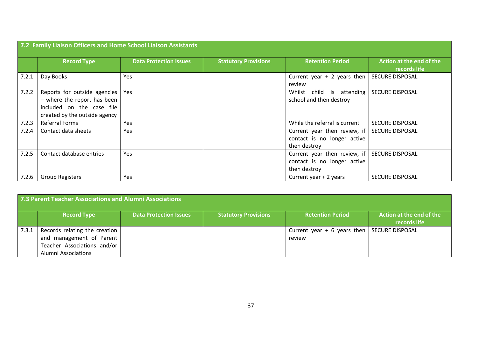|       | 7.2 Family Liaison Officers and Home School Liaison Assistants                                                            |                               |                             |                                                                             |                                          |  |  |  |
|-------|---------------------------------------------------------------------------------------------------------------------------|-------------------------------|-----------------------------|-----------------------------------------------------------------------------|------------------------------------------|--|--|--|
|       | <b>Record Type</b>                                                                                                        | <b>Data Protection Issues</b> | <b>Statutory Provisions</b> | <b>Retention Period</b>                                                     | Action at the end of the<br>records life |  |  |  |
| 7.2.1 | Day Books                                                                                                                 | Yes                           |                             | Current year $+2$ years then<br>review                                      | <b>SECURE DISPOSAL</b>                   |  |  |  |
| 7.2.2 | Reports for outside agencies<br>- where the report has been<br>included on the case file<br>created by the outside agency | Yes                           |                             | Whilst child is attending<br>school and then destroy                        | <b>SECURE DISPOSAL</b>                   |  |  |  |
| 7.2.3 | <b>Referral Forms</b>                                                                                                     | Yes                           |                             | While the referral is current                                               | <b>SECURE DISPOSAL</b>                   |  |  |  |
| 7.2.4 | Contact data sheets                                                                                                       | Yes                           |                             | Current year then review, if<br>contact is no longer active<br>then destroy | <b>SECURE DISPOSAL</b>                   |  |  |  |
| 7.2.5 | Contact database entries                                                                                                  | Yes                           |                             | Current year then review, if<br>contact is no longer active<br>then destroy | <b>SECURE DISPOSAL</b>                   |  |  |  |
| 7.2.6 | <b>Group Registers</b>                                                                                                    | Yes                           |                             | Current year + 2 years                                                      | <b>SECURE DISPOSAL</b>                   |  |  |  |

| 7.3 Parent Teacher Associations and Alumni Associations |                                                                                                                 |                               |                             |                                                         |                                          |  |  |
|---------------------------------------------------------|-----------------------------------------------------------------------------------------------------------------|-------------------------------|-----------------------------|---------------------------------------------------------|------------------------------------------|--|--|
|                                                         | <b>Record Type</b>                                                                                              | <b>Data Protection Issues</b> | <b>Statutory Provisions</b> | <b>Retention Period</b>                                 | Action at the end of the<br>records life |  |  |
| 7.3.1                                                   | Records relating the creation<br>and management of Parent<br>Teacher Associations and/or<br>Alumni Associations |                               |                             | Current year $+ 6$ years then SECURE DISPOSAL<br>review |                                          |  |  |